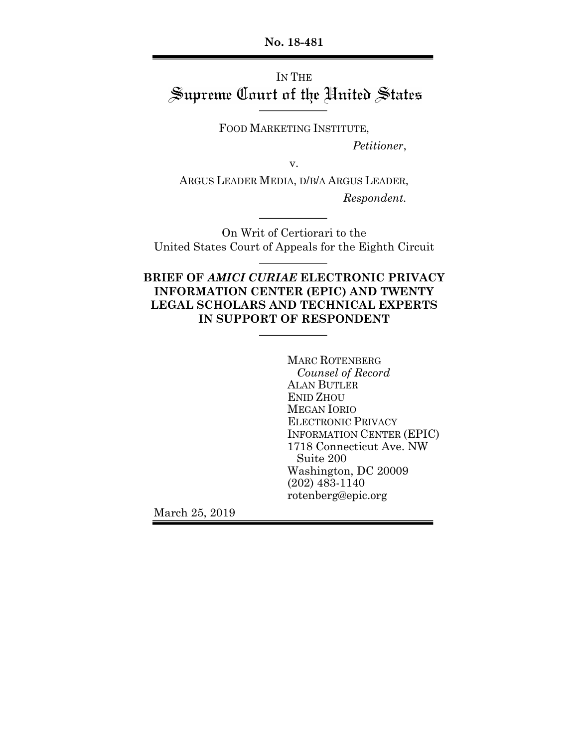**No. 18-481**

# IN THE Supreme Court of the United States

FOOD MARKETING INSTITUTE,

*Petitioner*,

v.

ARGUS LEADER MEDIA, D/B/A ARGUS LEADER, *Respondent.*

On Writ of Certiorari to the United States Court of Appeals for the Eighth Circuit

## **BRIEF OF** *AMICI CURIAE* **ELECTRONIC PRIVACY INFORMATION CENTER (EPIC) AND TWENTY LEGAL SCHOLARS AND TECHNICAL EXPERTS IN SUPPORT OF RESPONDENT**

MARC ROTENBERG *Counsel of Record* ALAN BUTLER ENID ZHOU MEGAN IORIO ELECTRONIC PRIVACY INFORMATION CENTER (EPIC) 1718 Connecticut Ave. NW Suite 200 Washington, DC 20009 (202) 483-1140 rotenberg@epic.org

March 25, 2019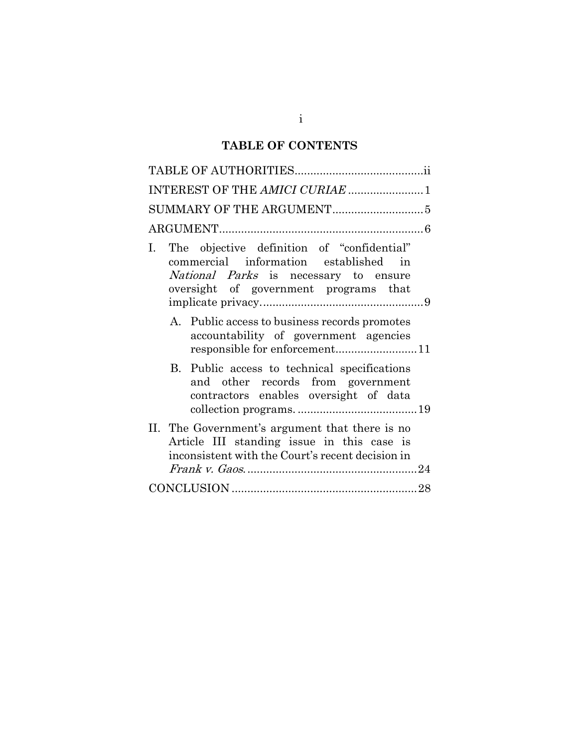## **TABLE OF CONTENTS**

| INTEREST OF THE AMICI CURIAE 1                                                                                                                                                          |
|-----------------------------------------------------------------------------------------------------------------------------------------------------------------------------------------|
|                                                                                                                                                                                         |
|                                                                                                                                                                                         |
| The objective definition of "confidential"<br>$\mathbf{I}$ .<br>commercial information established in<br>National Parks is necessary to ensure<br>oversight of government programs that |
| A. Public access to business records promotes<br>accountability of government agencies                                                                                                  |
| B. Public access to technical specifications<br>and other records from government<br>contractors enables oversight of data                                                              |
| II. The Government's argument that there is no<br>Article III standing issue in this case is<br>inconsistent with the Court's recent decision in                                        |
|                                                                                                                                                                                         |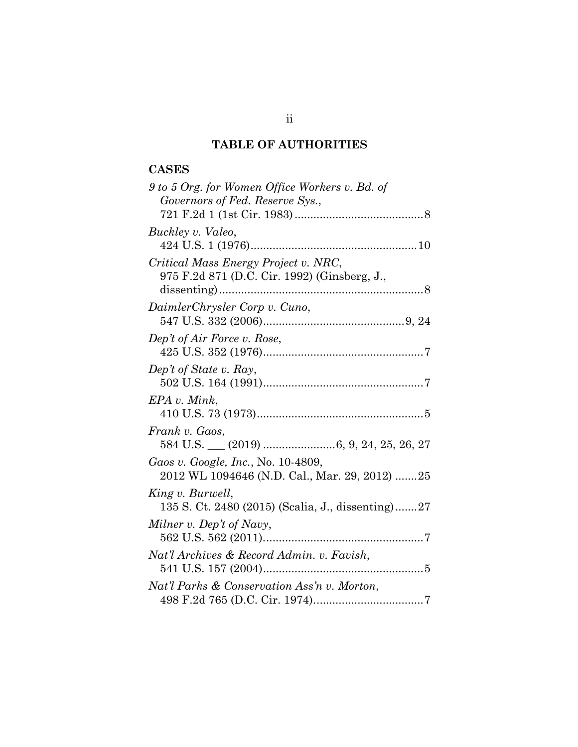## **TABLE OF AUTHORITIES**

## **CASES**

| 9 to 5 Org. for Women Office Workers v. Bd. of    |
|---------------------------------------------------|
| Governors of Fed. Reserve Sys.,                   |
|                                                   |
| Buckley v. Valeo,                                 |
|                                                   |
| Critical Mass Energy Project v. NRC,              |
| 975 F.2d 871 (D.C. Cir. 1992) (Ginsberg, J.,      |
|                                                   |
| DaimlerChrysler Corp v. Cuno,                     |
|                                                   |
| Dep't of Air Force v. Rose,                       |
|                                                   |
| Dep't of State v. Ray,                            |
|                                                   |
| EPA v. Mink,                                      |
|                                                   |
| Frank v. Gaos,                                    |
|                                                   |
| Gaos v. Google, Inc., No. 10-4809,                |
| 2012 WL 1094646 (N.D. Cal., Mar. 29, 2012) 25     |
| King v. Burwell,                                  |
| 135 S. Ct. 2480 (2015) (Scalia, J., dissenting)27 |
|                                                   |
| Milner v. Dep't of Navy,                          |
|                                                   |
| Nat'l Archives & Record Admin. v. Favish,         |
|                                                   |
| Nat'l Parks & Conservation Ass'n v. Morton,       |
|                                                   |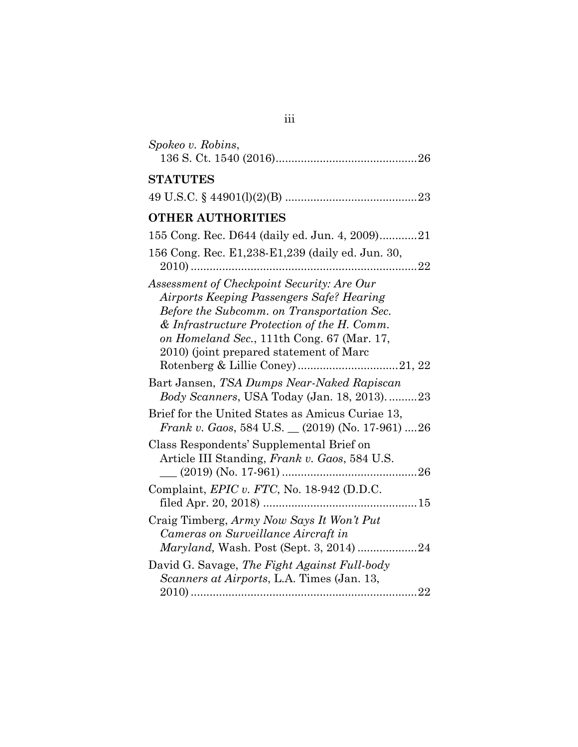| Spokeo v. Robins,                                                                                                                                                                                                                                                             |
|-------------------------------------------------------------------------------------------------------------------------------------------------------------------------------------------------------------------------------------------------------------------------------|
| <b>STATUTES</b>                                                                                                                                                                                                                                                               |
|                                                                                                                                                                                                                                                                               |
| <b>OTHER AUTHORITIES</b>                                                                                                                                                                                                                                                      |
| 155 Cong. Rec. D644 (daily ed. Jun. 4, 2009)21                                                                                                                                                                                                                                |
| 156 Cong. Rec. E1,238-E1,239 (daily ed. Jun. 30,                                                                                                                                                                                                                              |
| Assessment of Checkpoint Security: Are Our<br>Airports Keeping Passengers Safe? Hearing<br>Before the Subcomm. on Transportation Sec.<br>& Infrastructure Protection of the H. Comm.<br>on Homeland Sec., 111th Cong. 67 (Mar. 17,<br>2010) (joint prepared statement of Marc |
| Bart Jansen, TSA Dumps Near-Naked Rapiscan<br><i>Body Scanners</i> , USA Today (Jan. 18, 2013)23                                                                                                                                                                              |
| Brief for the United States as Amicus Curiae 13,<br><i>Frank v. Gaos,</i> 584 U.S. $(2019)$ (No. 17-961) 26                                                                                                                                                                   |
| Class Respondents' Supplemental Brief on<br>Article III Standing, Frank v. Gaos, 584 U.S.<br>Complaint, EPIC v. FTC, No. 18-942 (D.D.C.                                                                                                                                       |
|                                                                                                                                                                                                                                                                               |
| Craig Timberg, Army Now Says It Won't Put<br>Cameras on Surveillance Aircraft in                                                                                                                                                                                              |
| David G. Savage, The Fight Against Full-body<br>Scanners at Airports, L.A. Times (Jan. 13,                                                                                                                                                                                    |

| ۰. | ٠ | ٠ |  |
|----|---|---|--|
|    |   |   |  |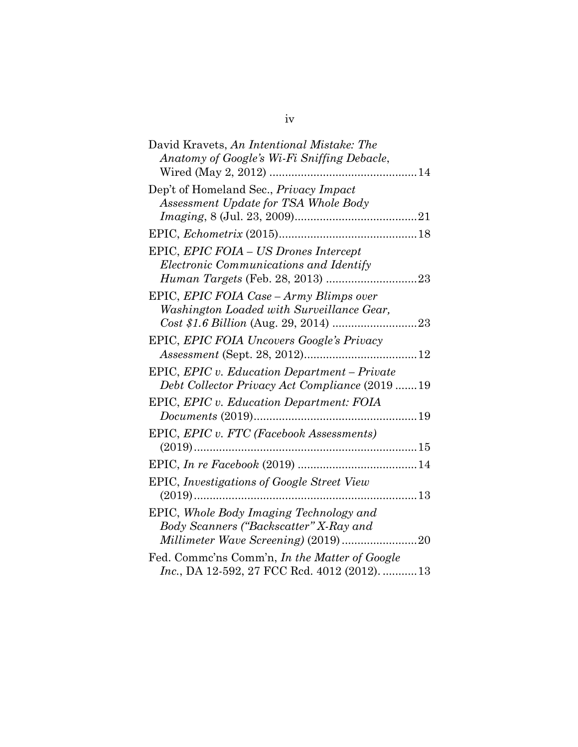| David Kravets, An Intentional Mistake: The           |    |
|------------------------------------------------------|----|
| Anatomy of Google's Wi-Fi Sniffing Debacle,          |    |
| Wired (May 2, 2012)<br>14                            |    |
| Dep't of Homeland Sec., Privacy Impact               |    |
| Assessment Update for TSA Whole Body                 |    |
|                                                      |    |
|                                                      |    |
| EPIC, EPIC FOIA - US Drones Intercept                |    |
| Electronic Communications and Identify               |    |
|                                                      |    |
| EPIC, EPIC FOIA Case - Army Blimps over              |    |
| Washington Loaded with Surveillance Gear,            |    |
|                                                      |    |
| EPIC, EPIC FOIA Uncovers Google's Privacy            |    |
|                                                      |    |
| EPIC, EPIC v. Education Department – Private         |    |
| Debt Collector Privacy Act Compliance (2019 19       |    |
| EPIC, EPIC v. Education Department: FOIA             |    |
|                                                      |    |
| EPIC, EPIC v. FTC (Facebook Assessments)             |    |
| $(2019)$                                             |    |
|                                                      |    |
| EPIC, Investigations of Google Street View           |    |
|                                                      |    |
| EPIC, Whole Body Imaging Technology and              |    |
| Body Scanners ("Backscatter" X-Ray and               |    |
| Millimeter Wave Screening) (2019)                    | 20 |
| Fed. Comme'ns Comm'n, In the Matter of Google        |    |
| <i>Inc.</i> , DA 12-592, 27 FCC Rcd. 4012 (2012). 13 |    |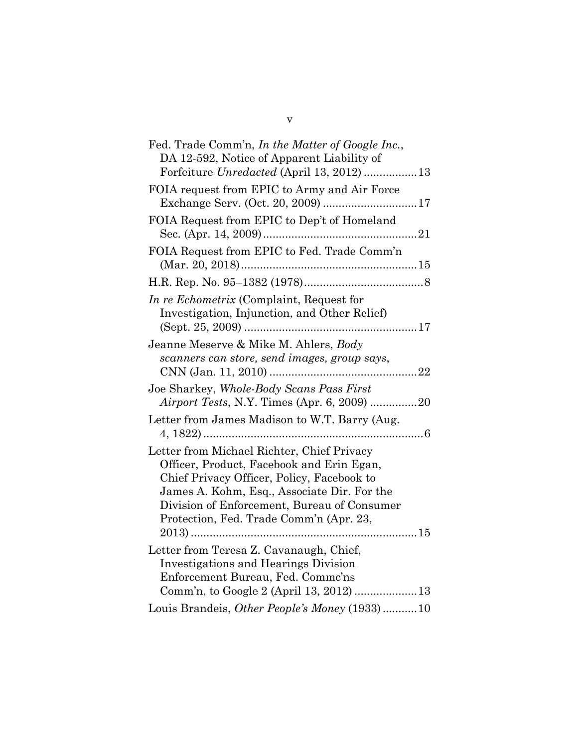| Fed. Trade Comm'n, In the Matter of Google Inc.,<br>DA 12-592, Notice of Apparent Liability of                                                                                                                                                                                 |  |
|--------------------------------------------------------------------------------------------------------------------------------------------------------------------------------------------------------------------------------------------------------------------------------|--|
| Forfeiture Unredacted (April 13, 2012) 13                                                                                                                                                                                                                                      |  |
| FOIA request from EPIC to Army and Air Force                                                                                                                                                                                                                                   |  |
| FOIA Request from EPIC to Dep't of Homeland                                                                                                                                                                                                                                    |  |
| FOIA Request from EPIC to Fed. Trade Comm'n                                                                                                                                                                                                                                    |  |
|                                                                                                                                                                                                                                                                                |  |
| In re Echometrix (Complaint, Request for<br>Investigation, Injunction, and Other Relief)                                                                                                                                                                                       |  |
| Jeanne Meserve & Mike M. Ahlers, Body<br>scanners can store, send images, group says,                                                                                                                                                                                          |  |
| Joe Sharkey, Whole-Body Scans Pass First<br>Airport Tests, N.Y. Times (Apr. 6, 2009) 20                                                                                                                                                                                        |  |
| Letter from James Madison to W.T. Barry (Aug.                                                                                                                                                                                                                                  |  |
| Letter from Michael Richter, Chief Privacy<br>Officer, Product, Facebook and Erin Egan,<br>Chief Privacy Officer, Policy, Facebook to<br>James A. Kohm, Esq., Associate Dir. For the<br>Division of Enforcement, Bureau of Consumer<br>Protection, Fed. Trade Comm'n (Apr. 23, |  |
| Letter from Teresa Z. Cavanaugh, Chief,<br><b>Investigations and Hearings Division</b><br>Enforcement Bureau, Fed. Commc'ns                                                                                                                                                    |  |
| Louis Brandeis, Other People's Money (1933)10                                                                                                                                                                                                                                  |  |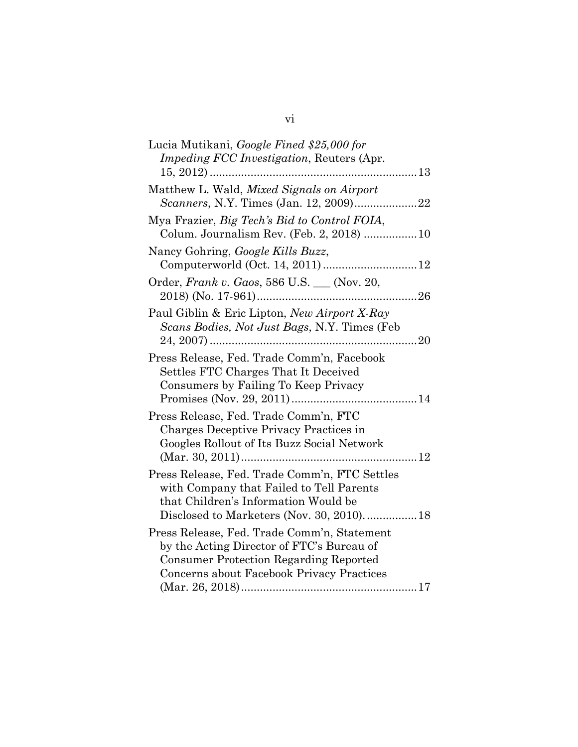| Lucia Mutikani, Google Fined \$25,000 for                                                                                                                                              |
|----------------------------------------------------------------------------------------------------------------------------------------------------------------------------------------|
| <i>Impeding FCC Investigation, Reuters (Apr.</i>                                                                                                                                       |
|                                                                                                                                                                                        |
| Matthew L. Wald, Mixed Signals on Airport                                                                                                                                              |
| Mya Frazier, Big Tech's Bid to Control FOIA,<br>Colum. Journalism Rev. (Feb. 2, 2018) 10                                                                                               |
| Nancy Gohring, Google Kills Buzz,                                                                                                                                                      |
| Order, Frank v. Gaos, 586 U.S. __ (Nov. 20,                                                                                                                                            |
| Paul Giblin & Eric Lipton, New Airport X-Ray<br>Scans Bodies, Not Just Bags, N.Y. Times (Feb.                                                                                          |
| Press Release, Fed. Trade Comm'n, Facebook<br>Settles FTC Charges That It Deceived<br>Consumers by Failing To Keep Privacy                                                             |
| Press Release, Fed. Trade Comm'n, FTC<br>Charges Deceptive Privacy Practices in<br>Googles Rollout of Its Buzz Social Network                                                          |
| Press Release, Fed. Trade Comm'n, FTC Settles<br>with Company that Failed to Tell Parents<br>that Children's Information Would be<br>Disclosed to Marketers (Nov. 30, 2010) 18         |
| Press Release, Fed. Trade Comm'n, Statement<br>by the Acting Director of FTC's Bureau of<br><b>Consumer Protection Regarding Reported</b><br>Concerns about Facebook Privacy Practices |

| V1 |  |
|----|--|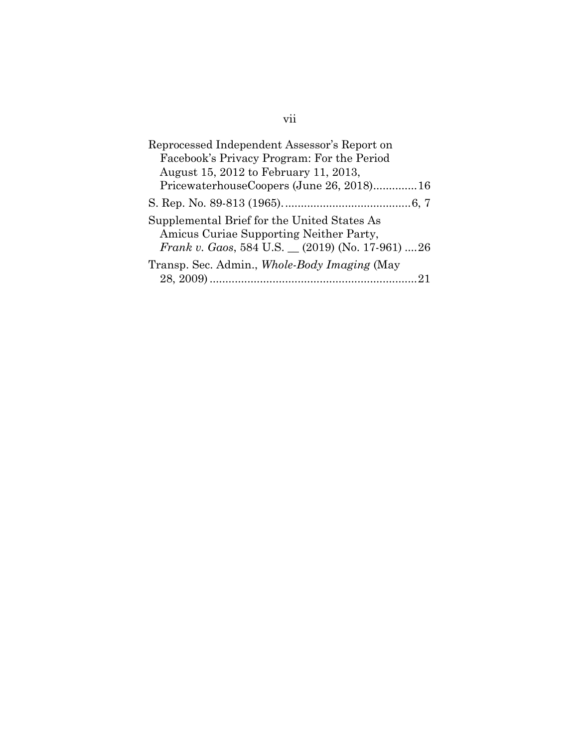| Reprocessed Independent Assessor's Report on                                                                                             |
|------------------------------------------------------------------------------------------------------------------------------------------|
| Facebook's Privacy Program: For the Period                                                                                               |
| August 15, 2012 to February 11, 2013,                                                                                                    |
| PricewaterhouseCoopers (June 26, 2018)16                                                                                                 |
|                                                                                                                                          |
| Supplemental Brief for the United States As<br>Amicus Curiae Supporting Neither Party,<br>Frank v. Gaos, 584 U.S. (2019) (No. 17-961) 26 |
| Transp. Sec. Admin., Whole-Body Imaging (May                                                                                             |
|                                                                                                                                          |

## vii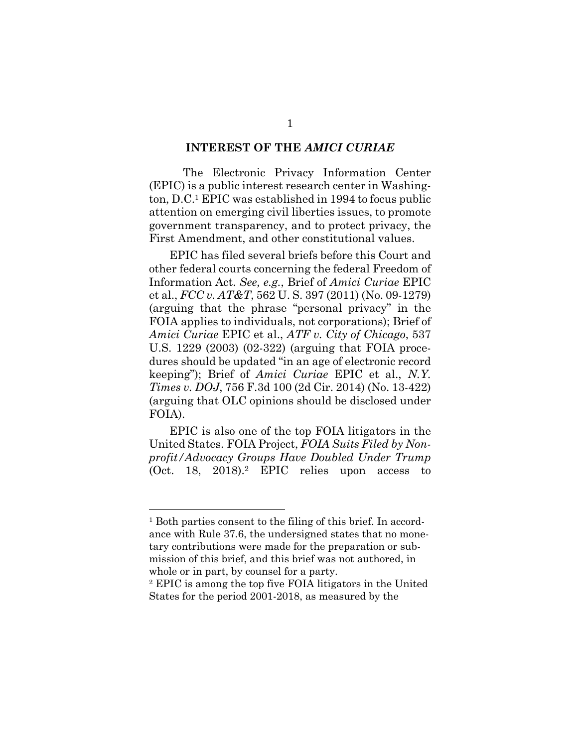#### **INTEREST OF THE** *AMICI CURIAE*

The Electronic Privacy Information Center (EPIC) is a public interest research center in Washington, D.C.1 EPIC was established in 1994 to focus public attention on emerging civil liberties issues, to promote government transparency, and to protect privacy, the First Amendment, and other constitutional values.

EPIC has filed several briefs before this Court and other federal courts concerning the federal Freedom of Information Act. *See, e.g.*, Brief of *Amici Curiae* EPIC et al., *FCC v. AT&T*, 562 U. S. 397 (2011) (No. 09-1279) (arguing that the phrase "personal privacy" in the FOIA applies to individuals, not corporations); Brief of *Amici Curiae* EPIC et al., *ATF v. City of Chicago*, 537 U.S. 1229 (2003) (02-322) (arguing that FOIA procedures should be updated "in an age of electronic record keeping"); Brief of *Amici Curiae* EPIC et al., *N.Y. Times v. DOJ*, 756 F.3d 100 (2d Cir. 2014) (No. 13-422) (arguing that OLC opinions should be disclosed under FOIA).

EPIC is also one of the top FOIA litigators in the United States. FOIA Project, *FOIA Suits Filed by Nonprofit/Advocacy Groups Have Doubled Under Trump* (Oct. 18, 2018).<sup>2</sup> EPIC relies upon access to

<sup>1</sup> Both parties consent to the filing of this brief. In accordance with Rule 37.6, the undersigned states that no monetary contributions were made for the preparation or submission of this brief, and this brief was not authored, in whole or in part, by counsel for a party.

<sup>2</sup> EPIC is among the top five FOIA litigators in the United States for the period 2001-2018, as measured by the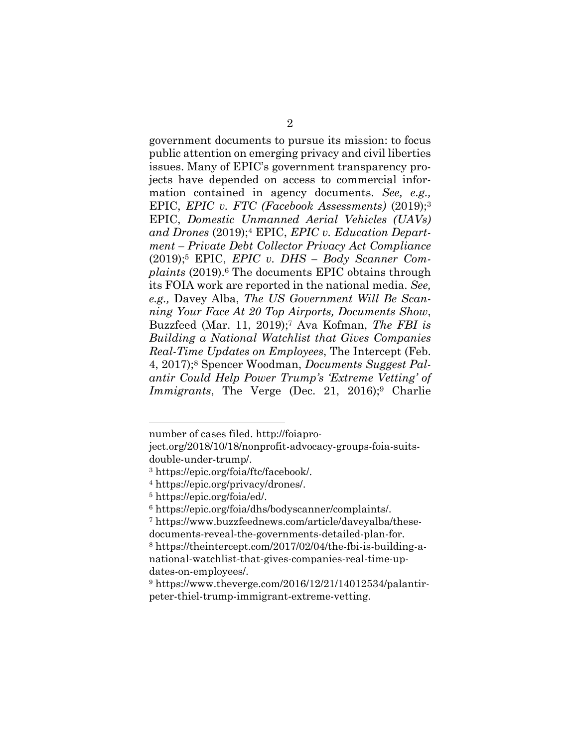government documents to pursue its mission: to focus public attention on emerging privacy and civil liberties issues. Many of EPIC's government transparency projects have depended on access to commercial information contained in agency documents. *See, e.g.,*  EPIC, *EPIC v. FTC (Facebook Assessments)* (2019);<sup>3</sup> EPIC, *Domestic Unmanned Aerial Vehicles (UAVs) and Drones* (2019);<sup>4</sup> EPIC, *EPIC v. Education Department – Private Debt Collector Privacy Act Compliance*  (2019);<sup>5</sup> EPIC, *EPIC v. DHS – Body Scanner Complaints* (2019).<sup>6</sup> The documents EPIC obtains through its FOIA work are reported in the national media. *See, e.g.,* Davey Alba, *The US Government Will Be Scanning Your Face At 20 Top Airports, Documents Show*, Buzzfeed (Mar. 11, 2019);<sup>7</sup> Ava Kofman, *The FBI is Building a National Watchlist that Gives Companies Real-Time Updates on Employees*, The Intercept (Feb. 4, 2017);<sup>8</sup> Spencer Woodman, *Documents Suggest Palantir Could Help Power Trump's 'Extreme Vetting' of Immigrants*, The Verge (Dec. 21, 2016);<sup>9</sup> Charlie

number of cases filed. http://foiapro-

ject.org/2018/10/18/nonprofit-advocacy-groups-foia-suitsdouble-under-trump/.

<sup>3</sup> https://epic.org/foia/ftc/facebook/.

<sup>4</sup> https://epic.org/privacy/drones/.

<sup>5</sup> https://epic.org/foia/ed/.

<sup>6</sup> https://epic.org/foia/dhs/bodyscanner/complaints/.

<sup>7</sup> https://www.buzzfeednews.com/article/daveyalba/thesedocuments-reveal-the-governments-detailed-plan-for.

<sup>8</sup> https://theintercept.com/2017/02/04/the-fbi-is-building-anational-watchlist-that-gives-companies-real-time-updates-on-employees/.

 $9 \text{ https://www.theverge.com/2016/12/21/14012534/palantir-}$ peter-thiel-trump-immigrant-extreme-vetting.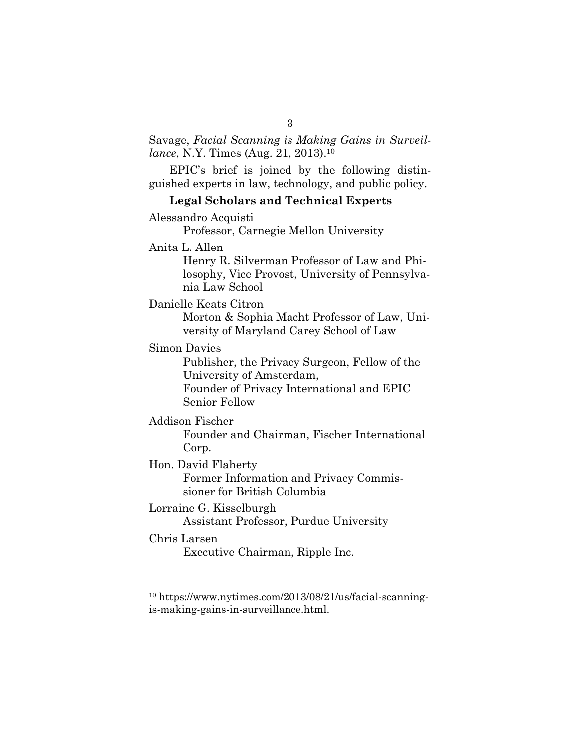### Savage, *Facial Scanning is Making Gains in Surveillance*, N.Y. Times (Aug. 21, 2013).<sup>10</sup>

EPIC's brief is joined by the following distinguished experts in law, technology, and public policy.

#### **Legal Scholars and Technical Experts**

Alessandro Acquisti

Professor, Carnegie Mellon University

Anita L. Allen

Henry R. Silverman Professor of Law and Philosophy, Vice Provost, University of Pennsylvania Law School

Danielle Keats Citron

Morton & Sophia Macht Professor of Law, University of Maryland Carey School of Law

Simon Davies

Publisher, the Privacy Surgeon, Fellow of the University of Amsterdam,

Founder of Privacy International and EPIC Senior Fellow

Addison Fischer

Founder and Chairman, Fischer International Corp.

Hon. David Flaherty

Former Information and Privacy Commissioner for British Columbia

Lorraine G. Kisselburgh Assistant Professor, Purdue University

Chris Larsen

 $\overline{a}$ 

Executive Chairman, Ripple Inc.

<sup>10</sup> https://www.nytimes.com/2013/08/21/us/facial-scanningis-making-gains-in-surveillance.html.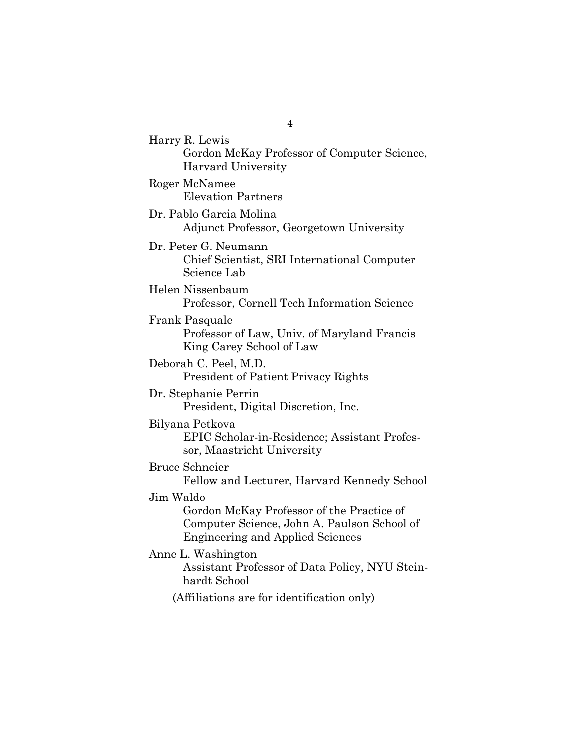Harry R. Lewis Gordon McKay Professor of Computer Science, Harvard University Roger McNamee Elevation Partners Dr. Pablo Garcia Molina Adjunct Professor, Georgetown University Dr. Peter G. Neumann Chief Scientist, SRI International Computer Science Lab Helen Nissenbaum Professor, Cornell Tech Information Science Frank Pasquale Professor of Law, Univ. of Maryland Francis King Carey School of Law Deborah C. Peel, M.D. President of Patient Privacy Rights Dr. Stephanie Perrin President, Digital Discretion, Inc. Bilyana Petkova EPIC Scholar-in-Residence; Assistant Professor, Maastricht University Bruce Schneier Fellow and Lecturer, Harvard Kennedy School Jim Waldo Gordon McKay Professor of the Practice of Computer Science, John A. Paulson School of Engineering and Applied Sciences Anne L. Washington Assistant Professor of Data Policy, NYU Steinhardt School (Affiliations are for identification only)

4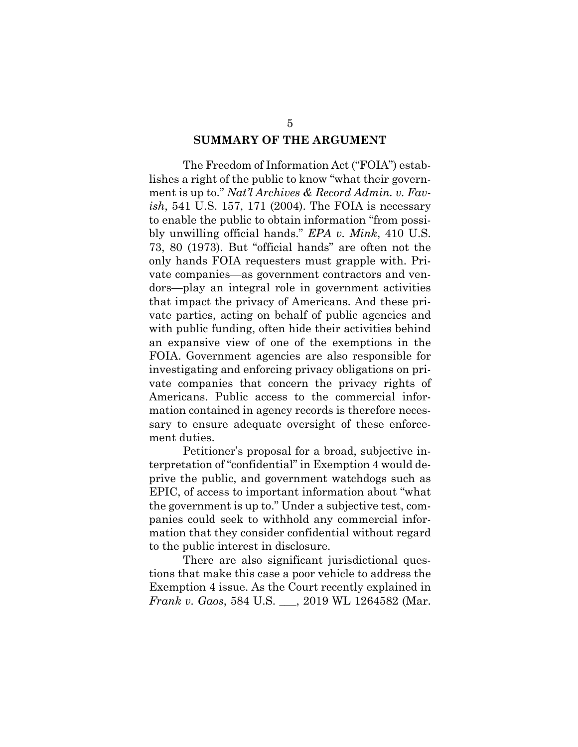#### **SUMMARY OF THE ARGUMENT**

The Freedom of Information Act ("FOIA") establishes a right of the public to know "what their government is up to." *Nat'l Archives & Record Admin. v. Favish*, 541 U.S. 157, 171 (2004). The FOIA is necessary to enable the public to obtain information "from possibly unwilling official hands." *EPA v. Mink*, 410 U.S. 73, 80 (1973). But "official hands" are often not the only hands FOIA requesters must grapple with. Private companies—as government contractors and vendors—play an integral role in government activities that impact the privacy of Americans. And these private parties, acting on behalf of public agencies and with public funding, often hide their activities behind an expansive view of one of the exemptions in the FOIA. Government agencies are also responsible for investigating and enforcing privacy obligations on private companies that concern the privacy rights of Americans. Public access to the commercial information contained in agency records is therefore necessary to ensure adequate oversight of these enforcement duties.

Petitioner's proposal for a broad, subjective interpretation of "confidential" in Exemption 4 would deprive the public, and government watchdogs such as EPIC, of access to important information about "what the government is up to." Under a subjective test, companies could seek to withhold any commercial information that they consider confidential without regard to the public interest in disclosure.

There are also significant jurisdictional questions that make this case a poor vehicle to address the Exemption 4 issue. As the Court recently explained in *Frank v. Gaos*, 584 U.S. \_\_\_, 2019 WL 1264582 (Mar.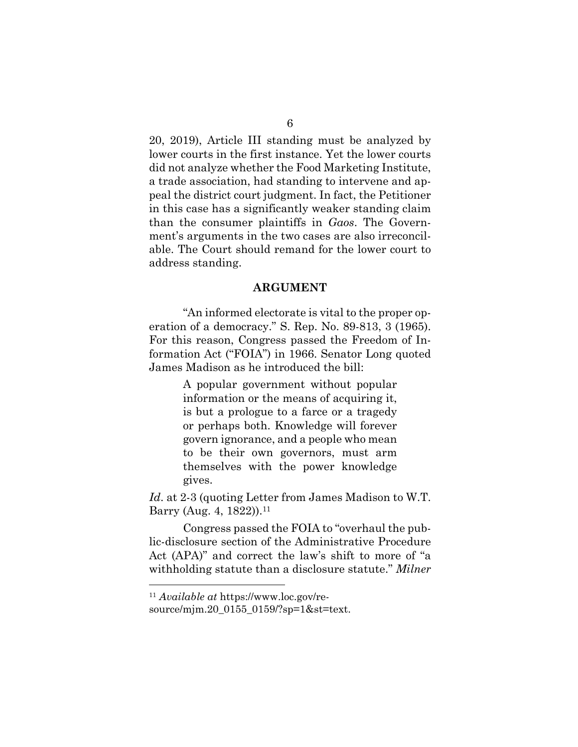20, 2019), Article III standing must be analyzed by lower courts in the first instance. Yet the lower courts did not analyze whether the Food Marketing Institute, a trade association, had standing to intervene and appeal the district court judgment. In fact, the Petitioner in this case has a significantly weaker standing claim than the consumer plaintiffs in *Gaos*. The Government's arguments in the two cases are also irreconcilable. The Court should remand for the lower court to address standing.

#### **ARGUMENT**

"An informed electorate is vital to the proper operation of a democracy." S. Rep. No. 89-813, 3 (1965). For this reason, Congress passed the Freedom of Information Act ("FOIA") in 1966. Senator Long quoted James Madison as he introduced the bill:

> A popular government without popular information or the means of acquiring it, is but a prologue to a farce or a tragedy or perhaps both. Knowledge will forever govern ignorance, and a people who mean to be their own governors, must arm themselves with the power knowledge gives.

*Id*. at 2-3 (quoting Letter from James Madison to W.T. Barry (Aug. 4, 1822)).<sup>11</sup>

Congress passed the FOIA to "overhaul the public-disclosure section of the Administrative Procedure Act (APA)" and correct the law's shift to more of "a withholding statute than a disclosure statute." *Milner* 

<sup>11</sup> *Available at* https://www.loc.gov/re-

source/mjm.20\_0155\_0159/?sp=1&st=text.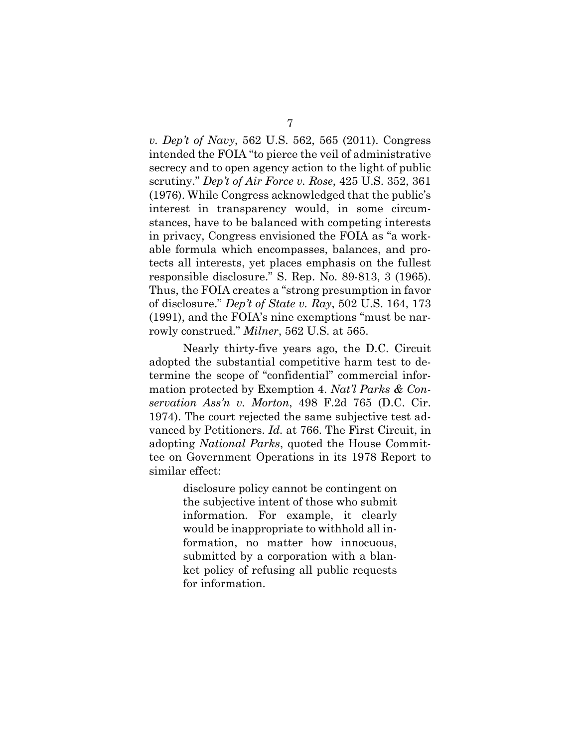*v. Dep't of Navy*, 562 U.S. 562, 565 (2011). Congress intended the FOIA "to pierce the veil of administrative secrecy and to open agency action to the light of public scrutiny." *Dep't of Air Force v. Rose*, 425 U.S. 352, 361 (1976). While Congress acknowledged that the public's interest in transparency would, in some circumstances, have to be balanced with competing interests in privacy, Congress envisioned the FOIA as "a workable formula which encompasses, balances, and protects all interests, yet places emphasis on the fullest responsible disclosure." S. Rep. No. 89-813, 3 (1965). Thus, the FOIA creates a "strong presumption in favor of disclosure." *Dep't of State v. Ray*, 502 U.S. 164, 173 (1991), and the FOIA's nine exemptions "must be narrowly construed." *Milner*, 562 U.S. at 565.

Nearly thirty-five years ago, the D.C. Circuit adopted the substantial competitive harm test to determine the scope of "confidential" commercial information protected by Exemption 4. *Nat'l Parks & Conservation Ass'n v. Morton*, 498 F.2d 765 (D.C. Cir. 1974). The court rejected the same subjective test advanced by Petitioners. *Id.* at 766. The First Circuit, in adopting *National Parks*, quoted the House Committee on Government Operations in its 1978 Report to similar effect:

> disclosure policy cannot be contingent on the subjective intent of those who submit information. For example, it clearly would be inappropriate to withhold all information, no matter how innocuous, submitted by a corporation with a blanket policy of refusing all public requests for information.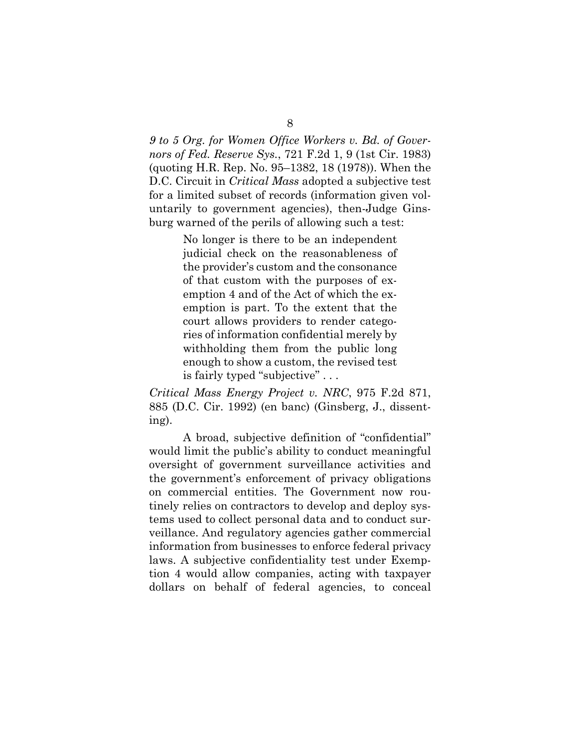*9 to 5 Org. for Women Office Workers v. Bd. of Governors of Fed. Reserve Sys.*, 721 F.2d 1, 9 (1st Cir. 1983) (quoting H.R. Rep. No. 95–1382, 18 (1978)). When the D.C. Circuit in *Critical Mass* adopted a subjective test for a limited subset of records (information given voluntarily to government agencies), then-Judge Ginsburg warned of the perils of allowing such a test:

> No longer is there to be an independent judicial check on the reasonableness of the provider's custom and the consonance of that custom with the purposes of exemption 4 and of the Act of which the exemption is part. To the extent that the court allows providers to render categories of information confidential merely by withholding them from the public long enough to show a custom, the revised test is fairly typed "subjective" . . .

*Critical Mass Energy Project v. NRC*, 975 F.2d 871, 885 (D.C. Cir. 1992) (en banc) (Ginsberg, J., dissenting).

A broad, subjective definition of "confidential" would limit the public's ability to conduct meaningful oversight of government surveillance activities and the government's enforcement of privacy obligations on commercial entities. The Government now routinely relies on contractors to develop and deploy systems used to collect personal data and to conduct surveillance. And regulatory agencies gather commercial information from businesses to enforce federal privacy laws. A subjective confidentiality test under Exemption 4 would allow companies, acting with taxpayer dollars on behalf of federal agencies, to conceal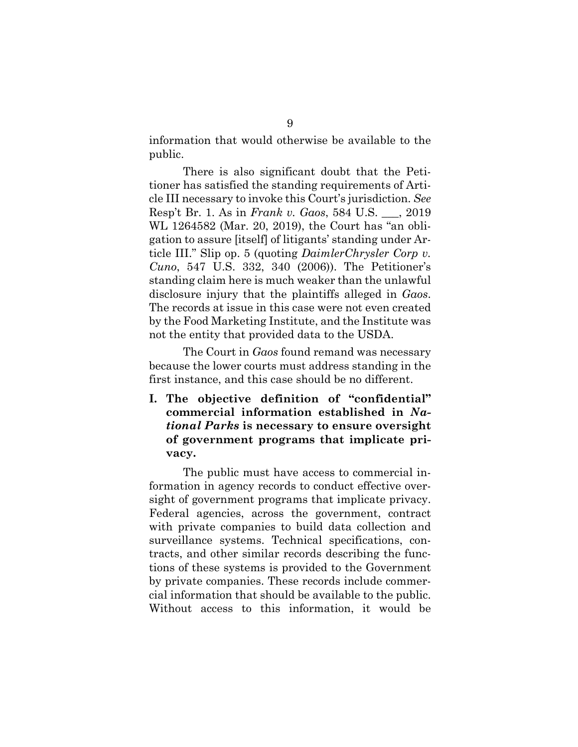information that would otherwise be available to the public.

There is also significant doubt that the Petitioner has satisfied the standing requirements of Article III necessary to invoke this Court's jurisdiction. *See*  Resp't Br. 1. As in *Frank v. Gaos*, 584 U.S. \_\_\_, 2019 WL 1264582 (Mar. 20, 2019), the Court has "an obligation to assure [itself] of litigants' standing under Article III." Slip op. 5 (quoting *DaimlerChrysler Corp v. Cuno*, 547 U.S. 332, 340 (2006)). The Petitioner's standing claim here is much weaker than the unlawful disclosure injury that the plaintiffs alleged in *Gaos*. The records at issue in this case were not even created by the Food Marketing Institute, and the Institute was not the entity that provided data to the USDA.

The Court in *Gaos* found remand was necessary because the lower courts must address standing in the first instance, and this case should be no different.

**I. The objective definition of "confidential" commercial information established in** *National Parks* **is necessary to ensure oversight of government programs that implicate privacy.**

The public must have access to commercial information in agency records to conduct effective oversight of government programs that implicate privacy. Federal agencies, across the government, contract with private companies to build data collection and surveillance systems. Technical specifications, contracts, and other similar records describing the functions of these systems is provided to the Government by private companies. These records include commercial information that should be available to the public. Without access to this information, it would be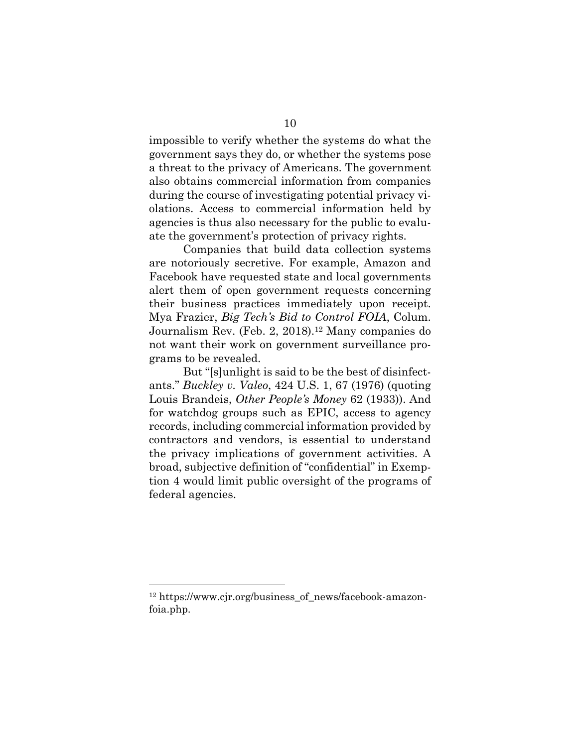impossible to verify whether the systems do what the government says they do, or whether the systems pose a threat to the privacy of Americans. The government also obtains commercial information from companies during the course of investigating potential privacy violations. Access to commercial information held by agencies is thus also necessary for the public to evaluate the government's protection of privacy rights.

Companies that build data collection systems are notoriously secretive. For example, Amazon and Facebook have requested state and local governments alert them of open government requests concerning their business practices immediately upon receipt. Mya Frazier, *Big Tech's Bid to Control FOIA*, Colum. Journalism Rev. (Feb. 2, 2018).<sup>12</sup> Many companies do not want their work on government surveillance programs to be revealed.

But "[s]unlight is said to be the best of disinfectants." *Buckley v. Valeo*, 424 U.S. 1, 67 (1976) (quoting Louis Brandeis, *Other People's Money* 62 (1933)). And for watchdog groups such as EPIC, access to agency records, including commercial information provided by contractors and vendors, is essential to understand the privacy implications of government activities. A broad, subjective definition of "confidential" in Exemption 4 would limit public oversight of the programs of federal agencies.

<sup>12</sup> https://www.cjr.org/business\_of\_news/facebook-amazonfoia.php.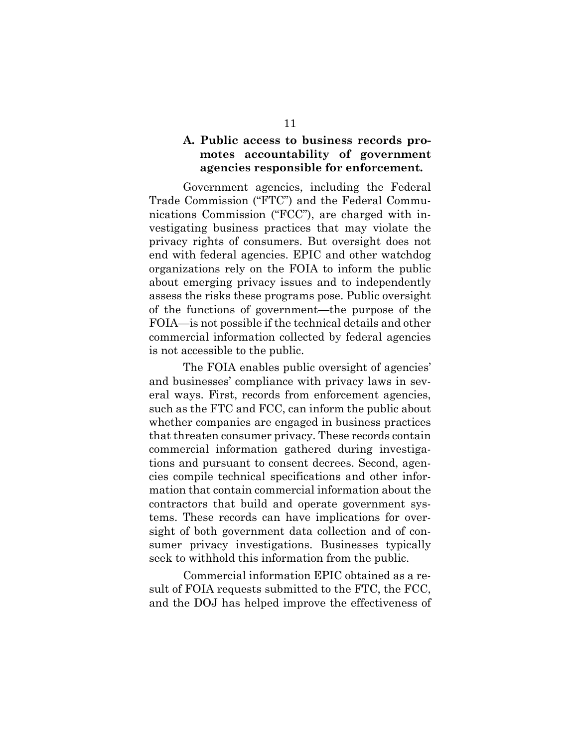### **A. Public access to business records promotes accountability of government agencies responsible for enforcement.**

Government agencies, including the Federal Trade Commission ("FTC") and the Federal Communications Commission ("FCC"), are charged with investigating business practices that may violate the privacy rights of consumers. But oversight does not end with federal agencies. EPIC and other watchdog organizations rely on the FOIA to inform the public about emerging privacy issues and to independently assess the risks these programs pose. Public oversight of the functions of government—the purpose of the FOIA—is not possible if the technical details and other commercial information collected by federal agencies is not accessible to the public.

The FOIA enables public oversight of agencies' and businesses' compliance with privacy laws in several ways. First, records from enforcement agencies, such as the FTC and FCC, can inform the public about whether companies are engaged in business practices that threaten consumer privacy. These records contain commercial information gathered during investigations and pursuant to consent decrees. Second, agencies compile technical specifications and other information that contain commercial information about the contractors that build and operate government systems. These records can have implications for oversight of both government data collection and of consumer privacy investigations. Businesses typically seek to withhold this information from the public.

Commercial information EPIC obtained as a result of FOIA requests submitted to the FTC, the FCC, and the DOJ has helped improve the effectiveness of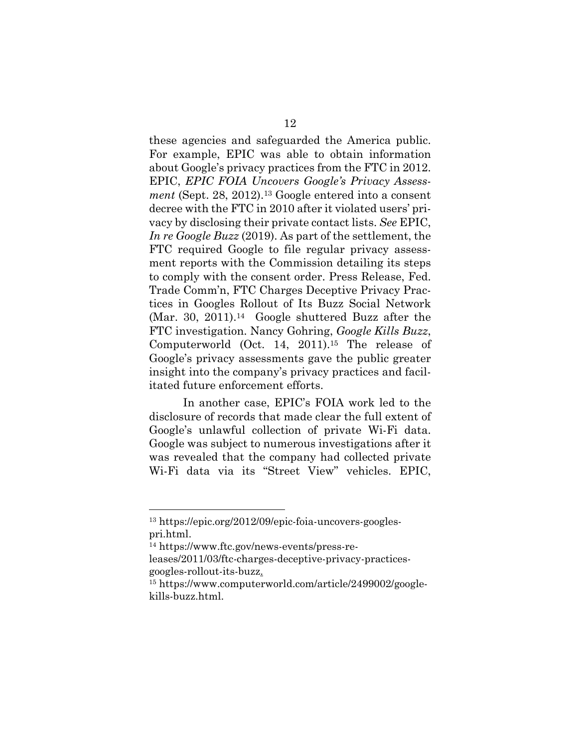these agencies and safeguarded the America public. For example, EPIC was able to obtain information about Google's privacy practices from the FTC in 2012. EPIC, *EPIC FOIA Uncovers Google's Privacy Assessment* (Sept. 28, 2012).<sup>13</sup> Google entered into a consent decree with the FTC in 2010 after it violated users' privacy by disclosing their private contact lists. *See* EPIC, *In re Google Buzz* (2019). As part of the settlement, the FTC required Google to file regular privacy assessment reports with the Commission detailing its steps to comply with the consent order. Press Release, Fed. Trade Comm'n, FTC Charges Deceptive Privacy Practices in Googles Rollout of Its Buzz Social Network (Mar. 30, 2011).14 Google shuttered Buzz after the FTC investigation. Nancy Gohring, *Google Kills Buzz*, Computerworld (Oct. 14, 2011).<sup>15</sup> The release of Google's privacy assessments gave the public greater insight into the company's privacy practices and facilitated future enforcement efforts.

In another case, EPIC's FOIA work led to the disclosure of records that made clear the full extent of Google's unlawful collection of private Wi-Fi data. Google was subject to numerous investigations after it was revealed that the company had collected private Wi-Fi data via its "Street View" vehicles. EPIC,

<sup>13</sup> https://epic.org/2012/09/epic-foia-uncovers-googlespri.html.<br><sup>14</sup> https://www.ftc.gov/news-events/press-re-

leases/2011/03/ftc-charges-deceptive-privacy-practicesgoogles-rollout-its-buzz.

<sup>15</sup> https://www.computerworld.com/article/2499002/googlekills-buzz.html.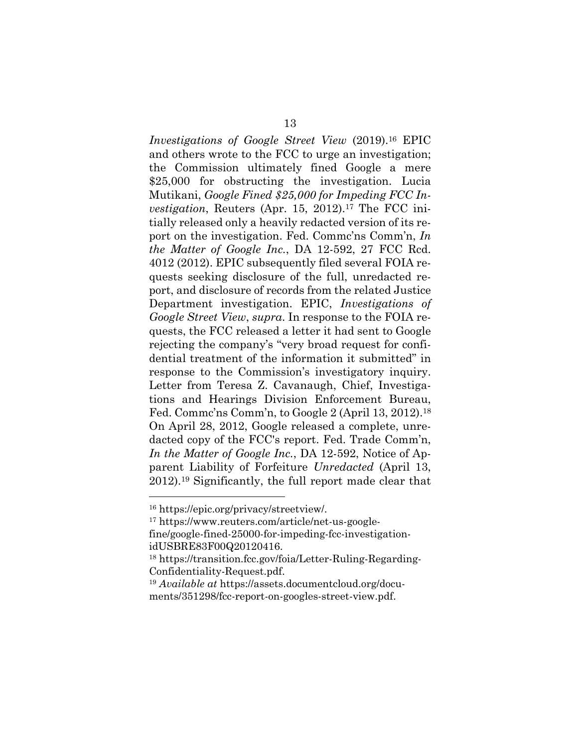*Investigations of Google Street View* (2019).<sup>16</sup> EPIC and others wrote to the FCC to urge an investigation; the Commission ultimately fined Google a mere \$25,000 for obstructing the investigation. Lucia Mutikani, *Google Fined \$25,000 for Impeding FCC Investigation*, Reuters (Apr. 15, 2012).<sup>17</sup> The FCC initially released only a heavily redacted version of its report on the investigation. Fed. Commc'ns Comm'n, *In the Matter of Google Inc.*, DA 12-592, 27 FCC Rcd. 4012 (2012). EPIC subsequently filed several FOIA requests seeking disclosure of the full, unredacted report, and disclosure of records from the related Justice Department investigation. EPIC, *Investigations of Google Street View*, *supra*. In response to the FOIA requests, the FCC released a letter it had sent to Google rejecting the company's "very broad request for confidential treatment of the information it submitted" in response to the Commission's investigatory inquiry. Letter from Teresa Z. Cavanaugh, Chief, Investigations and Hearings Division Enforcement Bureau, Fed. Commc'ns Comm'n, to Google 2 (April 13, 2012).18 On April 28, 2012, Google released a complete, unredacted copy of the FCC's report. Fed. Trade Comm'n, *In the Matter of Google Inc.*, DA 12-592, Notice of Apparent Liability of Forfeiture *Unredacted* (April 13, 2012).19 Significantly, the full report made clear that

 $\overline{a}$ 

<sup>16</sup> https://epic.org/privacy/streetview/.<br><sup>17</sup> https://www.reuters.com/article/net-us-google-

fine/google-fined-25000-for-impeding-fcc-investigationidUSBRE83F00Q20120416.

<sup>19</sup> *Available at* https://assets.documentcloud.org/documents/351298/fcc-report-on-googles-street-view.pdf.

<sup>18</sup> https://transition.fcc.gov/foia/Letter-Ruling-Regarding-Confidentiality-Request.pdf.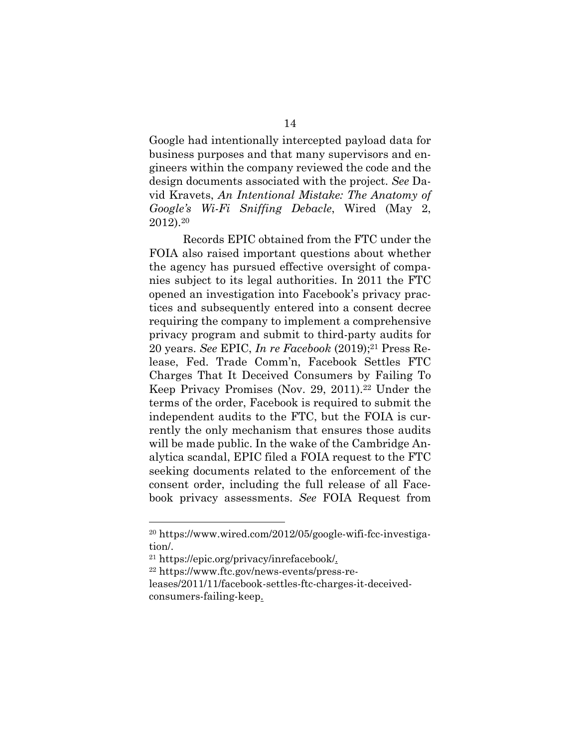Google had intentionally intercepted payload data for business purposes and that many supervisors and engineers within the company reviewed the code and the design documents associated with the project. *See* David Kravets, *An Intentional Mistake: The Anatomy of Google's Wi-Fi Sniffing Debacle*, Wired (May 2, 2012).<sup>20</sup>

Records EPIC obtained from the FTC under the FOIA also raised important questions about whether the agency has pursued effective oversight of companies subject to its legal authorities. In 2011 the FTC opened an investigation into Facebook's privacy practices and subsequently entered into a consent decree requiring the company to implement a comprehensive privacy program and submit to third-party audits for 20 years. *See* EPIC, *In re Facebook* (2019);21 Press Release, Fed. Trade Comm'n, Facebook Settles FTC Charges That It Deceived Consumers by Failing To Keep Privacy Promises (Nov. 29, 2011).<sup>22</sup> Under the terms of the order, Facebook is required to submit the independent audits to the FTC, but the FOIA is currently the only mechanism that ensures those audits will be made public. In the wake of the Cambridge Analytica scandal, EPIC filed a FOIA request to the FTC seeking documents related to the enforcement of the consent order, including the full release of all Facebook privacy assessments. *See* FOIA Request from

<sup>20</sup> https://www.wired.com/2012/05/google-wifi-fcc-investigation/. 21 https://epic.org/privacy/inrefacebook/.

<sup>22</sup> https://www.ftc.gov/news-events/press-re-

leases/2011/11/facebook-settles-ftc-charges-it-deceivedconsumers-failing-keep.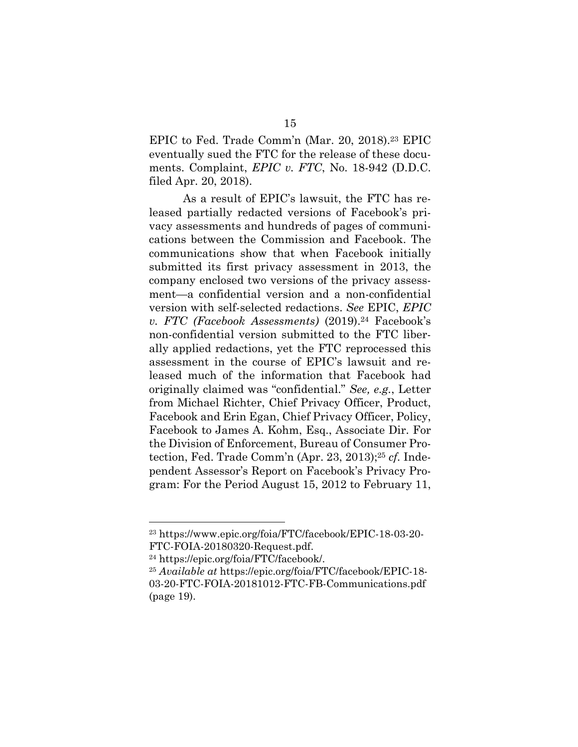EPIC to Fed. Trade Comm'n (Mar. 20, 2018).23 EPIC eventually sued the FTC for the release of these documents. Complaint, *EPIC v. FTC*, No. 18-942 (D.D.C. filed Apr. 20, 2018).

As a result of EPIC's lawsuit, the FTC has released partially redacted versions of Facebook's privacy assessments and hundreds of pages of communications between the Commission and Facebook. The communications show that when Facebook initially submitted its first privacy assessment in 2013, the company enclosed two versions of the privacy assessment—a confidential version and a non-confidential version with self-selected redactions. *See* EPIC, *EPIC v. FTC (Facebook Assessments)* (2019).24 Facebook's non-confidential version submitted to the FTC liberally applied redactions, yet the FTC reprocessed this assessment in the course of EPIC's lawsuit and released much of the information that Facebook had originally claimed was "confidential." *See, e.g.*, Letter from Michael Richter, Chief Privacy Officer, Product, Facebook and Erin Egan, Chief Privacy Officer, Policy, Facebook to James A. Kohm, Esq., Associate Dir. For the Division of Enforcement, Bureau of Consumer Protection, Fed. Trade Comm'n (Apr. 23, 2013);25 *cf.* Independent Assessor's Report on Facebook's Privacy Program: For the Period August 15, 2012 to February 11,

<sup>23</sup> https://www.epic.org/foia/FTC/facebook/EPIC-18-03-20- FTC-FOIA-20180320-Request.pdf.

<sup>24</sup> https://epic.org/foia/FTC/facebook/.

<sup>25</sup> *Available at* https://epic.org/foia/FTC/facebook/EPIC-18- 03-20-FTC-FOIA-20181012-FTC-FB-Communications.pdf (page 19).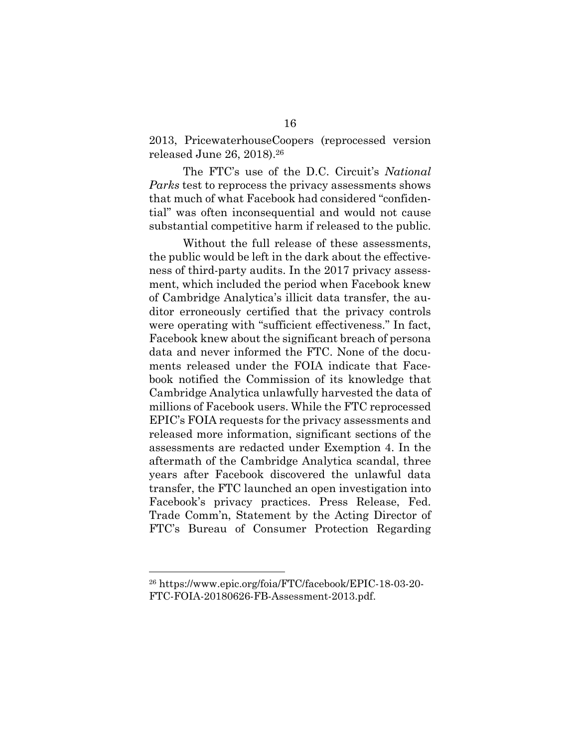2013, PricewaterhouseCoopers (reprocessed version released June 26, 2018).26

The FTC's use of the D.C. Circuit's *National Parks* test to reprocess the privacy assessments shows that much of what Facebook had considered "confidential" was often inconsequential and would not cause substantial competitive harm if released to the public.

Without the full release of these assessments, the public would be left in the dark about the effectiveness of third-party audits. In the 2017 privacy assessment, which included the period when Facebook knew of Cambridge Analytica's illicit data transfer, the auditor erroneously certified that the privacy controls were operating with "sufficient effectiveness." In fact, Facebook knew about the significant breach of persona data and never informed the FTC. None of the documents released under the FOIA indicate that Facebook notified the Commission of its knowledge that Cambridge Analytica unlawfully harvested the data of millions of Facebook users. While the FTC reprocessed EPIC's FOIA requests for the privacy assessments and released more information, significant sections of the assessments are redacted under Exemption 4. In the aftermath of the Cambridge Analytica scandal, three years after Facebook discovered the unlawful data transfer, the FTC launched an open investigation into Facebook's privacy practices. Press Release, Fed. Trade Comm'n, Statement by the Acting Director of FTC's Bureau of Consumer Protection Regarding

<sup>26</sup> https://www.epic.org/foia/FTC/facebook/EPIC-18-03-20- FTC-FOIA-20180626-FB-Assessment-2013.pdf.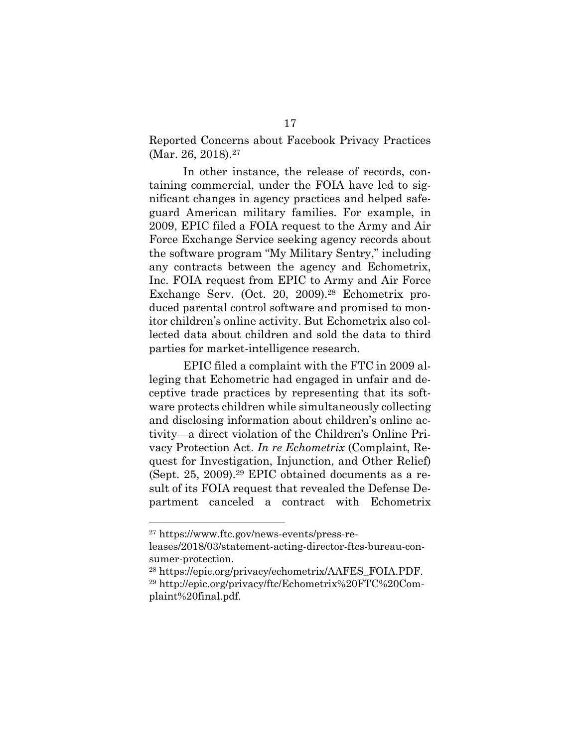Reported Concerns about Facebook Privacy Practices (Mar. 26, 2018).<sup>27</sup>

In other instance, the release of records, containing commercial, under the FOIA have led to significant changes in agency practices and helped safeguard American military families. For example, in 2009, EPIC filed a FOIA request to the Army and Air Force Exchange Service seeking agency records about the software program "My Military Sentry," including any contracts between the agency and Echometrix, Inc. FOIA request from EPIC to Army and Air Force Exchange Serv. (Oct. 20, 2009).28 Echometrix produced parental control software and promised to monitor children's online activity. But Echometrix also collected data about children and sold the data to third parties for market-intelligence research.

EPIC filed a complaint with the FTC in 2009 alleging that Echometric had engaged in unfair and deceptive trade practices by representing that its software protects children while simultaneously collecting and disclosing information about children's online activity—a direct violation of the Children's Online Privacy Protection Act. *In re Echometrix* (Complaint, Request for Investigation, Injunction, and Other Relief) (Sept. 25, 2009).29 EPIC obtained documents as a result of its FOIA request that revealed the Defense Department canceled a contract with Echometrix

<sup>27</sup> https://www.ftc.gov/news-events/press-re-

leases/2018/03/statement-acting-director-ftcs-bureau-consumer-protection.

<sup>28</sup> https://epic.org/privacy/echometrix/AAFES\_FOIA.PDF. <sup>29</sup> http://epic.org/privacy/ftc/Echometrix%20FTC%20Complaint%20final.pdf.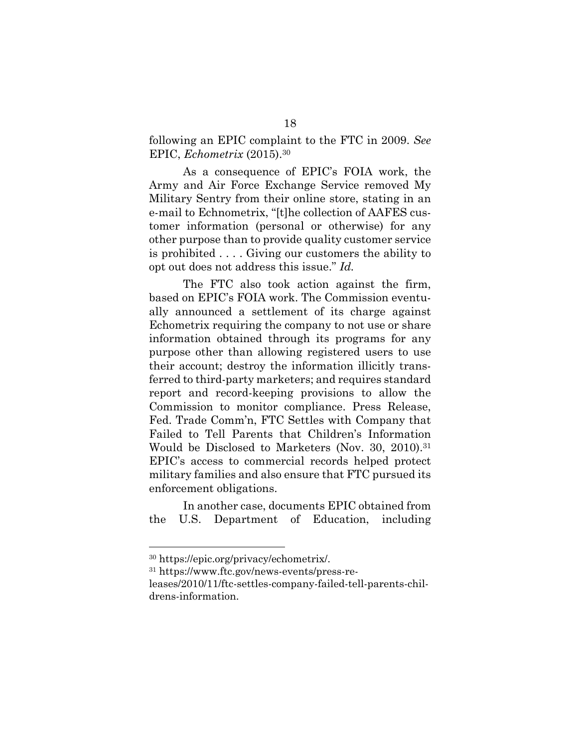following an EPIC complaint to the FTC in 2009. *See* EPIC, *Echometrix* (2015).30

As a consequence of EPIC's FOIA work, the Army and Air Force Exchange Service removed My Military Sentry from their online store, stating in an e-mail to Echnometrix, "[t]he collection of AAFES customer information (personal or otherwise) for any other purpose than to provide quality customer service is prohibited . . . . Giving our customers the ability to opt out does not address this issue." *Id.*

The FTC also took action against the firm, based on EPIC's FOIA work. The Commission eventually announced a settlement of its charge against Echometrix requiring the company to not use or share information obtained through its programs for any purpose other than allowing registered users to use their account; destroy the information illicitly transferred to third-party marketers; and requires standard report and record-keeping provisions to allow the Commission to monitor compliance. Press Release, Fed. Trade Comm'n, FTC Settles with Company that Failed to Tell Parents that Children's Information Would be Disclosed to Marketers (Nov. 30, 2010).31 EPIC's access to commercial records helped protect military families and also ensure that FTC pursued its enforcement obligations.

In another case, documents EPIC obtained from the U.S. Department of Education, including

 $\overline{a}$ 

<sup>31</sup> https://www.ftc.gov/news-events/press-re-

<sup>30</sup> https://epic.org/privacy/echometrix/.

leases/2010/11/ftc-settles-company-failed-tell-parents-childrens-information.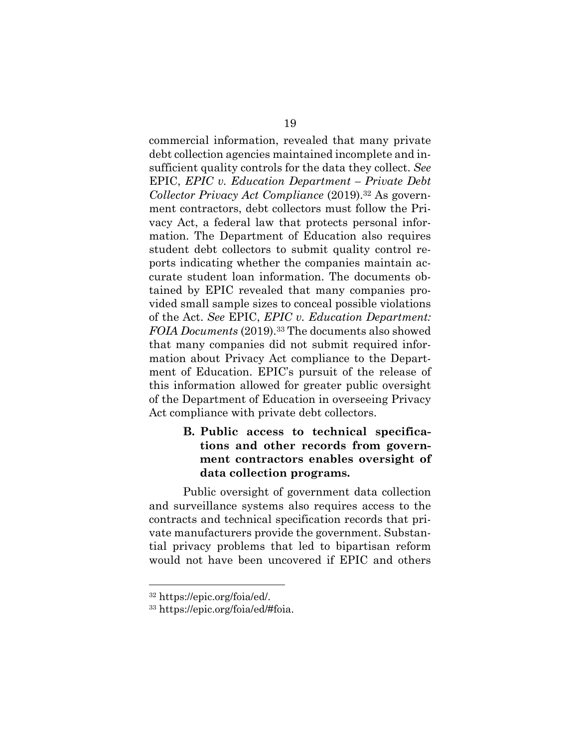commercial information, revealed that many private debt collection agencies maintained incomplete and insufficient quality controls for the data they collect. *See* EPIC, *EPIC v. Education Department – Private Debt Collector Privacy Act Compliance* (2019).32 As government contractors, debt collectors must follow the Privacy Act, a federal law that protects personal information. The Department of Education also requires student debt collectors to submit quality control reports indicating whether the companies maintain accurate student loan information. The documents obtained by EPIC revealed that many companies provided small sample sizes to conceal possible violations of the Act. *See* EPIC, *EPIC v. Education Department: FOIA Documents* (2019).33 The documents also showed that many companies did not submit required information about Privacy Act compliance to the Department of Education. EPIC's pursuit of the release of this information allowed for greater public oversight of the Department of Education in overseeing Privacy Act compliance with private debt collectors.

## **B. Public access to technical specifications and other records from government contractors enables oversight of data collection programs.**

Public oversight of government data collection and surveillance systems also requires access to the contracts and technical specification records that private manufacturers provide the government. Substantial privacy problems that led to bipartisan reform would not have been uncovered if EPIC and others

<sup>32</sup> https://epic.org/foia/ed/.

<sup>33</sup> https://epic.org/foia/ed/#foia.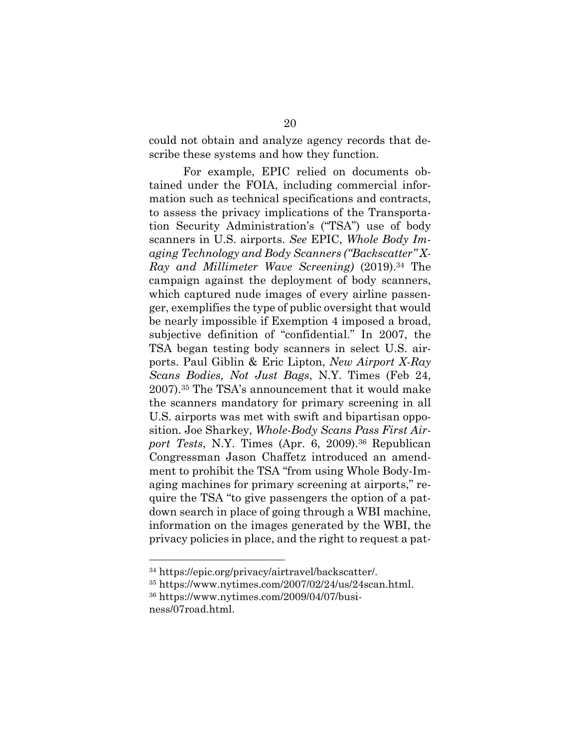could not obtain and analyze agency records that describe these systems and how they function.

For example, EPIC relied on documents obtained under the FOIA, including commercial information such as technical specifications and contracts, to assess the privacy implications of the Transportation Security Administration's ("TSA") use of body scanners in U.S. airports. *See* EPIC, *Whole Body Imaging Technology and Body Scanners ("Backscatter" X-Ray and Millimeter Wave Screening)* (2019).<sup>34</sup> The campaign against the deployment of body scanners, which captured nude images of every airline passenger, exemplifies the type of public oversight that would be nearly impossible if Exemption 4 imposed a broad, subjective definition of "confidential." In 2007, the TSA began testing body scanners in select U.S. airports. Paul Giblin & Eric Lipton, *New Airport X-Ray Scans Bodies, Not Just Bags*, N.Y. Times (Feb 24, 2007).<sup>35</sup> The TSA's announcement that it would make the scanners mandatory for primary screening in all U.S. airports was met with swift and bipartisan opposition. Joe Sharkey, *Whole-Body Scans Pass First Airport Tests*, N.Y. Times (Apr. 6, 2009).<sup>36</sup> Republican Congressman Jason Chaffetz introduced an amendment to prohibit the TSA "from using Whole Body-Imaging machines for primary screening at airports," require the TSA "to give passengers the option of a patdown search in place of going through a WBI machine, information on the images generated by the WBI, the privacy policies in place, and the right to request a pat-

<sup>34</sup> https://epic.org/privacy/airtravel/backscatter/.

<sup>35</sup> https://www.nytimes.com/2007/02/24/us/24scan.html.

<sup>36</sup> https://www.nytimes.com/2009/04/07/business/07road.html.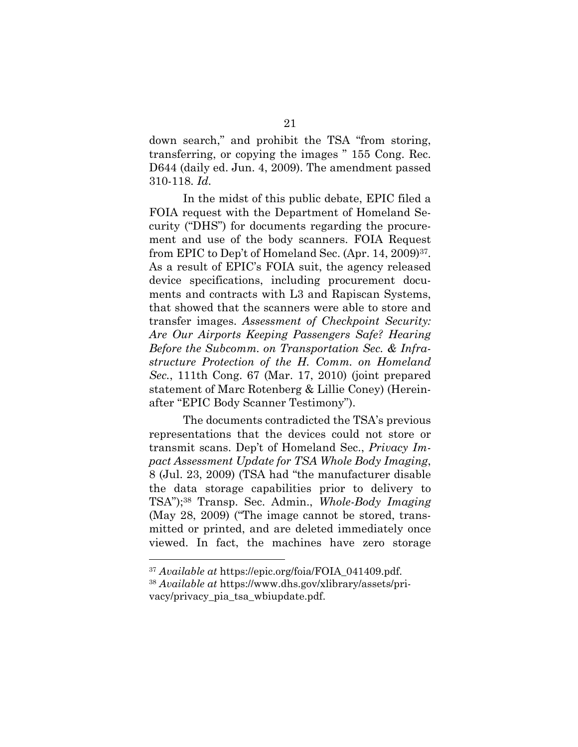down search," and prohibit the TSA "from storing, transferring, or copying the images " 155 Cong. Rec. D644 (daily ed. Jun. 4, 2009). The amendment passed 310-118. *Id.*

In the midst of this public debate, EPIC filed a FOIA request with the Department of Homeland Security ("DHS") for documents regarding the procurement and use of the body scanners. FOIA Request from EPIC to Dep't of Homeland Sec. (Apr. 14, 2009)37. As a result of EPIC's FOIA suit, the agency released device specifications, including procurement documents and contracts with L3 and Rapiscan Systems, that showed that the scanners were able to store and transfer images. *Assessment of Checkpoint Security: Are Our Airports Keeping Passengers Safe? Hearing Before the Subcomm. on Transportation Sec. & Infrastructure Protection of the H. Comm. on Homeland Sec.*, 111th Cong. 67 (Mar. 17, 2010) (joint prepared statement of Marc Rotenberg & Lillie Coney) (Hereinafter "EPIC Body Scanner Testimony").

The documents contradicted the TSA's previous representations that the devices could not store or transmit scans. Dep't of Homeland Sec., *Privacy Impact Assessment Update for TSA Whole Body Imaging*, 8 (Jul. 23, 2009) (TSA had "the manufacturer disable the data storage capabilities prior to delivery to TSA");<sup>38</sup> Transp. Sec. Admin., *Whole-Body Imaging*  (May 28, 2009) ("The image cannot be stored, transmitted or printed, and are deleted immediately once viewed. In fact, the machines have zero storage

<sup>37</sup> *Available at* https://epic.org/foia/FOIA\_041409.pdf.

<sup>38</sup> *Available at* https://www.dhs.gov/xlibrary/assets/privacy/privacy\_pia\_tsa\_wbiupdate.pdf.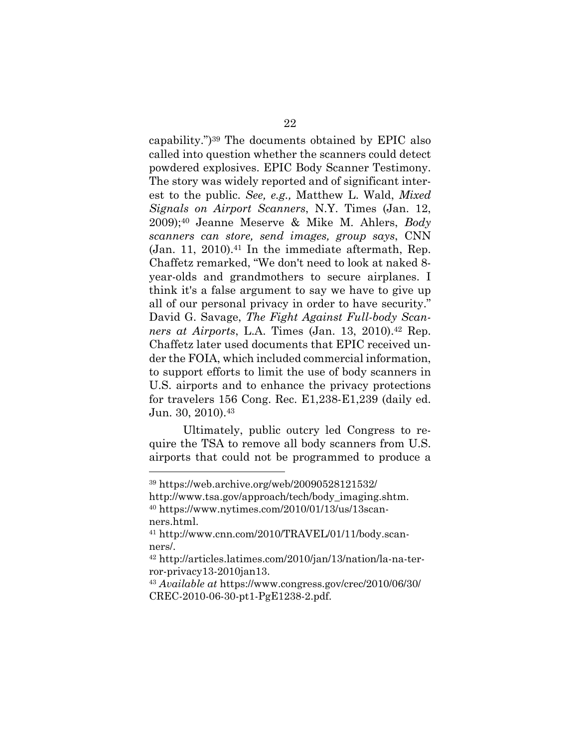capability.")<sup>39</sup> The documents obtained by EPIC also called into question whether the scanners could detect powdered explosives. EPIC Body Scanner Testimony. The story was widely reported and of significant interest to the public. *See, e.g.,* Matthew L. Wald, *Mixed Signals on Airport Scanners*, N.Y. Times (Jan. 12, 2009);<sup>40</sup> Jeanne Meserve & Mike M. Ahlers, *Body scanners can store, send images, group says*, CNN  $(Jan. 11, 2010).$ <sup>41</sup> In the immediate aftermath, Rep. Chaffetz remarked, "We don't need to look at naked 8 year-olds and grandmothers to secure airplanes. I think it's a false argument to say we have to give up all of our personal privacy in order to have security." David G. Savage, *The Fight Against Full-body Scanners at Airports*, L.A. Times (Jan. 13, 2010).<sup>42</sup> Rep. Chaffetz later used documents that EPIC received under the FOIA, which included commercial information, to support efforts to limit the use of body scanners in U.S. airports and to enhance the privacy protections for travelers 156 Cong. Rec. E1,238-E1,239 (daily ed. Jun.  $30, 2010$ .  $43$ 

Ultimately, public outcry led Congress to require the TSA to remove all body scanners from U.S. airports that could not be programmed to produce a

<sup>39</sup> https://web.archive.org/web/20090528121532/

http://www.tsa.gov/approach/tech/body\_imaging.shtm. <sup>40</sup> https://www.nytimes.com/2010/01/13/us/13scanners.html.

<sup>41</sup> http://www.cnn.com/2010/TRAVEL/01/11/body.scanners/.

<sup>42</sup> http://articles.latimes.com/2010/jan/13/nation/la-na-terror-privacy13-2010jan13.

<sup>43</sup> *Available at* https://www.congress.gov/crec/2010/06/30/ CREC-2010-06-30-pt1-PgE1238-2.pdf.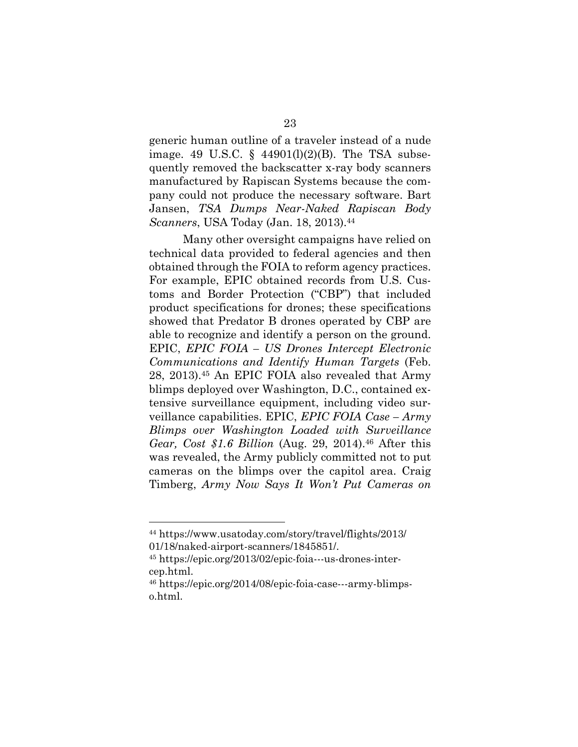generic human outline of a traveler instead of a nude image. 49 U.S.C.  $\S$  44901(l)(2)(B). The TSA subsequently removed the backscatter x-ray body scanners manufactured by Rapiscan Systems because the company could not produce the necessary software. Bart Jansen, *TSA Dumps Near-Naked Rapiscan Body Scanners*, USA Today (Jan. 18, 2013).44

Many other oversight campaigns have relied on technical data provided to federal agencies and then obtained through the FOIA to reform agency practices. For example, EPIC obtained records from U.S. Customs and Border Protection ("CBP") that included product specifications for drones; these specifications showed that Predator B drones operated by CBP are able to recognize and identify a person on the ground. EPIC, *EPIC FOIA – US Drones Intercept Electronic Communications and Identify Human Targets* (Feb. 28, 2013).<sup>45</sup> An EPIC FOIA also revealed that Army blimps deployed over Washington, D.C., contained extensive surveillance equipment, including video surveillance capabilities. EPIC, *EPIC FOIA Case – Army Blimps over Washington Loaded with Surveillance Gear, Cost \$1.6 Billion* (Aug. 29, 2014).<sup>46</sup> After this was revealed, the Army publicly committed not to put cameras on the blimps over the capitol area. Craig Timberg, *Army Now Says It Won't Put Cameras on* 

<sup>44</sup> https://www.usatoday.com/story/travel/flights/2013/ 01/18/naked-airport-scanners/1845851/.

<sup>45</sup> https://epic.org/2013/02/epic-foia---us-drones-intercep.html.

<sup>46</sup> https://epic.org/2014/08/epic-foia-case---army-blimpso.html.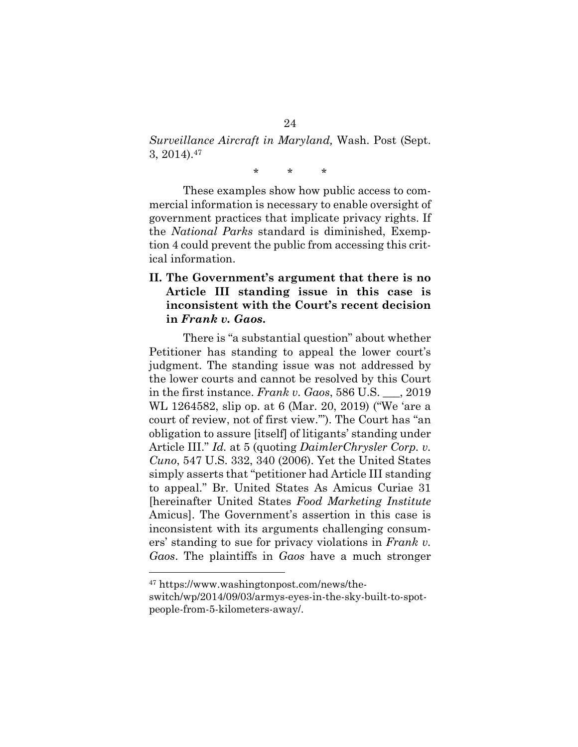*Surveillance Aircraft in Maryland,* Wash. Post (Sept. 3, 2014).<sup>47</sup>

\* \* \*

These examples show how public access to commercial information is necessary to enable oversight of government practices that implicate privacy rights. If the *National Parks* standard is diminished, Exemption 4 could prevent the public from accessing this critical information.

### **II. The Government's argument that there is no Article III standing issue in this case is inconsistent with the Court's recent decision in** *Frank v. Gaos***.**

There is "a substantial question" about whether Petitioner has standing to appeal the lower court's judgment. The standing issue was not addressed by the lower courts and cannot be resolved by this Court in the first instance. *Frank v. Gaos*, 586 U.S. \_\_\_, 2019 WL 1264582, slip op. at 6 (Mar. 20, 2019) ("We 'are a court of review, not of first view.'"). The Court has "an obligation to assure [itself] of litigants' standing under Article III." *Id.* at 5 (quoting *DaimlerChrysler Corp. v. Cuno*, 547 U.S. 332, 340 (2006). Yet the United States simply asserts that "petitioner had Article III standing to appeal." Br. United States As Amicus Curiae 31 [hereinafter United States *Food Marketing Institute*  Amicus]. The Government's assertion in this case is inconsistent with its arguments challenging consumers' standing to sue for privacy violations in *Frank v. Gaos*. The plaintiffs in *Gaos* have a much stronger

<sup>47</sup> https://www.washingtonpost.com/news/theswitch/wp/2014/09/03/armys-eyes-in-the-sky-built-to-spotpeople-from-5-kilometers-away/.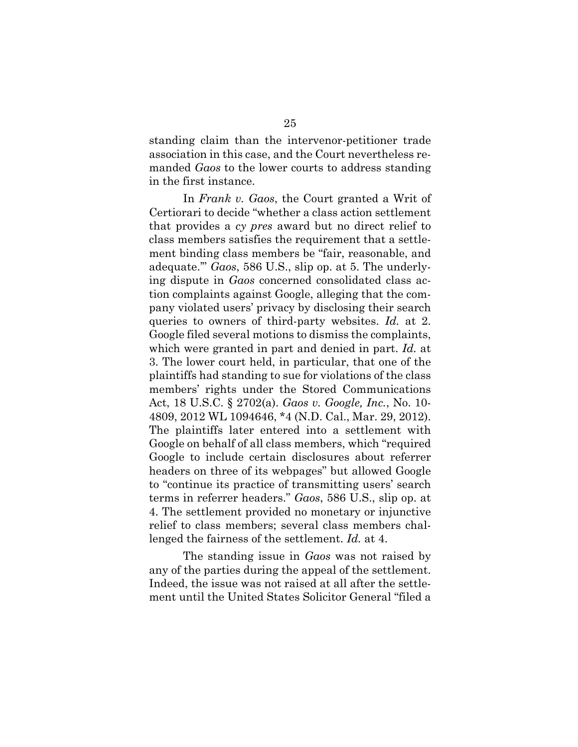standing claim than the intervenor-petitioner trade association in this case, and the Court nevertheless remanded *Gaos* to the lower courts to address standing in the first instance.

In *Frank v. Gaos*, the Court granted a Writ of Certiorari to decide "whether a class action settlement that provides a *cy pres* award but no direct relief to class members satisfies the requirement that a settlement binding class members be "fair, reasonable, and adequate.'" *Gaos*, 586 U.S., slip op. at 5. The underlying dispute in *Gaos* concerned consolidated class action complaints against Google, alleging that the company violated users' privacy by disclosing their search queries to owners of third-party websites. *Id.* at 2. Google filed several motions to dismiss the complaints, which were granted in part and denied in part. *Id.* at 3. The lower court held, in particular, that one of the plaintiffs had standing to sue for violations of the class members' rights under the Stored Communications Act, 18 U.S.C. § 2702(a). *Gaos v. Google, Inc.*, No. 10- 4809, 2012 WL 1094646, \*4 (N.D. Cal., Mar. 29, 2012). The plaintiffs later entered into a settlement with Google on behalf of all class members, which "required Google to include certain disclosures about referrer headers on three of its webpages" but allowed Google to "continue its practice of transmitting users' search terms in referrer headers." *Gaos*, 586 U.S., slip op. at 4. The settlement provided no monetary or injunctive relief to class members; several class members challenged the fairness of the settlement. *Id.* at 4.

The standing issue in *Gaos* was not raised by any of the parties during the appeal of the settlement. Indeed, the issue was not raised at all after the settlement until the United States Solicitor General "filed a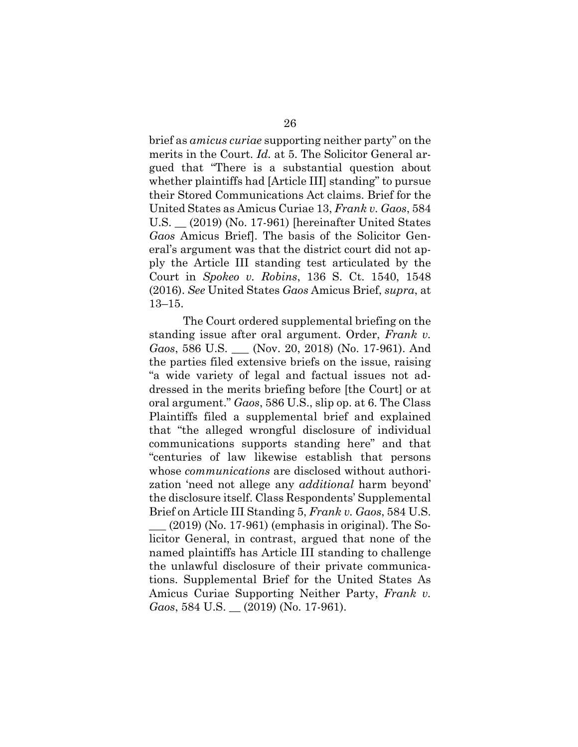brief as *amicus curiae* supporting neither party" on the merits in the Court. *Id.* at 5. The Solicitor General argued that "There is a substantial question about whether plaintiffs had [Article III] standing" to pursue their Stored Communications Act claims. Brief for the United States as Amicus Curiae 13, *Frank v. Gaos*, 584 U.S. \_\_ (2019) (No. 17-961) [hereinafter United States *Gaos* Amicus Brief]. The basis of the Solicitor General's argument was that the district court did not apply the Article III standing test articulated by the Court in *Spokeo v. Robins*, 136 S. Ct. 1540, 1548 (2016). *See* United States *Gaos* Amicus Brief, *supra*, at 13–15.

The Court ordered supplemental briefing on the standing issue after oral argument. Order, *Frank v. Gaos*, 586 U.S. \_\_\_ (Nov. 20, 2018) (No. 17-961). And the parties filed extensive briefs on the issue, raising "a wide variety of legal and factual issues not addressed in the merits briefing before [the Court] or at oral argument." *Gaos*, 586 U.S., slip op. at 6. The Class Plaintiffs filed a supplemental brief and explained that "the alleged wrongful disclosure of individual communications supports standing here" and that "centuries of law likewise establish that persons whose *communications* are disclosed without authorization 'need not allege any *additional* harm beyond' the disclosure itself. Class Respondents' Supplemental Brief on Article III Standing 5, *Frank v. Gaos*, 584 U.S.

 $(2019)$  (No. 17-961) (emphasis in original). The Solicitor General, in contrast, argued that none of the named plaintiffs has Article III standing to challenge the unlawful disclosure of their private communications. Supplemental Brief for the United States As Amicus Curiae Supporting Neither Party, *Frank v. Gaos*, 584 U.S. \_\_ (2019) (No. 17-961).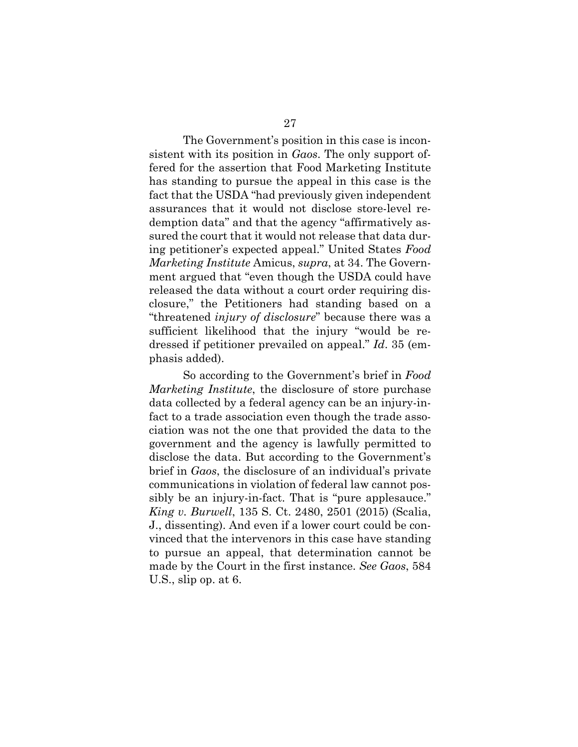The Government's position in this case is inconsistent with its position in *Gaos*. The only support offered for the assertion that Food Marketing Institute has standing to pursue the appeal in this case is the fact that the USDA "had previously given independent assurances that it would not disclose store-level redemption data" and that the agency "affirmatively assured the court that it would not release that data during petitioner's expected appeal." United States *Food Marketing Institute* Amicus, *supra*, at 34. The Government argued that "even though the USDA could have released the data without a court order requiring disclosure," the Petitioners had standing based on a "threatened *injury of disclosure*" because there was a sufficient likelihood that the injury "would be redressed if petitioner prevailed on appeal." *Id*. 35 (emphasis added).

So according to the Government's brief in *Food Marketing Institute*, the disclosure of store purchase data collected by a federal agency can be an injury-infact to a trade association even though the trade association was not the one that provided the data to the government and the agency is lawfully permitted to disclose the data. But according to the Government's brief in *Gaos*, the disclosure of an individual's private communications in violation of federal law cannot possibly be an injury-in-fact. That is "pure applesauce." *King v. Burwell*, 135 S. Ct. 2480, 2501 (2015) (Scalia, J., dissenting). And even if a lower court could be convinced that the intervenors in this case have standing to pursue an appeal, that determination cannot be made by the Court in the first instance. *See Gaos*, 584 U.S., slip op. at 6.